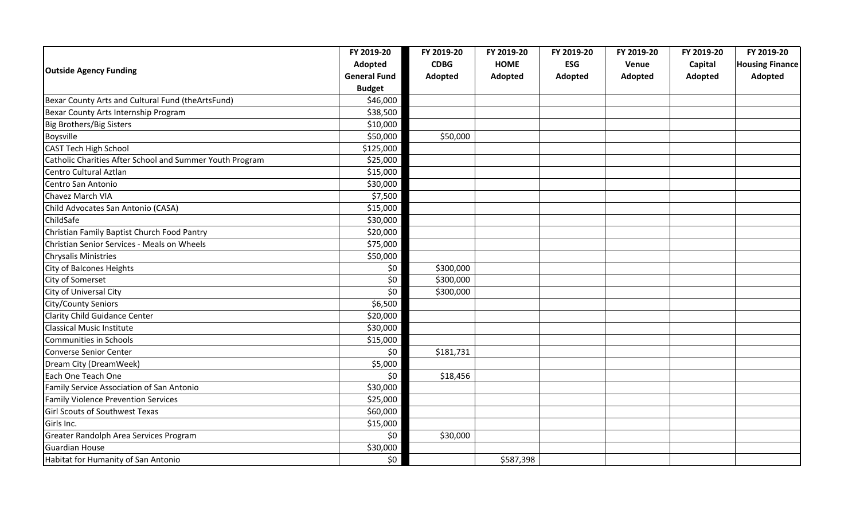|                                                          | FY 2019-20          | FY 2019-20  | FY 2019-20  | FY 2019-20 | FY 2019-20 | FY 2019-20 | FY 2019-20             |
|----------------------------------------------------------|---------------------|-------------|-------------|------------|------------|------------|------------------------|
| <b>Outside Agency Funding</b>                            | Adopted             | <b>CDBG</b> | <b>HOME</b> | <b>ESG</b> | Venue      | Capital    | <b>Housing Finance</b> |
|                                                          | <b>General Fund</b> | Adopted     | Adopted     | Adopted    | Adopted    | Adopted    | Adopted                |
|                                                          | <b>Budget</b>       |             |             |            |            |            |                        |
| Bexar County Arts and Cultural Fund (theArtsFund)        | \$46,000            |             |             |            |            |            |                        |
| Bexar County Arts Internship Program                     | \$38,500            |             |             |            |            |            |                        |
| <b>Big Brothers/Big Sisters</b>                          | \$10,000            |             |             |            |            |            |                        |
| Boysville                                                | \$50,000            | \$50,000    |             |            |            |            |                        |
| <b>CAST Tech High School</b>                             | \$125,000           |             |             |            |            |            |                        |
| Catholic Charities After School and Summer Youth Program | \$25,000            |             |             |            |            |            |                        |
| Centro Cultural Aztlan                                   | \$15,000            |             |             |            |            |            |                        |
| Centro San Antonio                                       | \$30,000            |             |             |            |            |            |                        |
| Chavez March VIA                                         | \$7,500             |             |             |            |            |            |                        |
| Child Advocates San Antonio (CASA)                       | \$15,000            |             |             |            |            |            |                        |
| ChildSafe                                                | \$30,000            |             |             |            |            |            |                        |
| Christian Family Baptist Church Food Pantry              | \$20,000            |             |             |            |            |            |                        |
| Christian Senior Services - Meals on Wheels              | \$75,000            |             |             |            |            |            |                        |
| <b>Chrysalis Ministries</b>                              | \$50,000            |             |             |            |            |            |                        |
| City of Balcones Heights                                 | \$0                 | \$300,000   |             |            |            |            |                        |
| City of Somerset                                         | \$0                 | \$300,000   |             |            |            |            |                        |
| City of Universal City                                   | \$0                 | \$300,000   |             |            |            |            |                        |
| City/County Seniors                                      | \$6,500             |             |             |            |            |            |                        |
| <b>Clarity Child Guidance Center</b>                     | \$20,000            |             |             |            |            |            |                        |
| <b>Classical Music Institute</b>                         | \$30,000            |             |             |            |            |            |                        |
| Communities in Schools                                   | \$15,000            |             |             |            |            |            |                        |
| Converse Senior Center                                   | \$0                 | \$181,731   |             |            |            |            |                        |
| Dream City (DreamWeek)                                   | \$5,000             |             |             |            |            |            |                        |
| Each One Teach One                                       | \$0                 | \$18,456    |             |            |            |            |                        |
| Family Service Association of San Antonio                | \$30,000            |             |             |            |            |            |                        |
| <b>Family Violence Prevention Services</b>               | \$25,000            |             |             |            |            |            |                        |
| <b>Girl Scouts of Southwest Texas</b>                    | \$60,000            |             |             |            |            |            |                        |
| Girls Inc.                                               | \$15,000            |             |             |            |            |            |                        |
| Greater Randolph Area Services Program                   | \$0                 | \$30,000    |             |            |            |            |                        |
| <b>Guardian House</b>                                    | \$30,000            |             |             |            |            |            |                        |
| Habitat for Humanity of San Antonio                      | \$0                 |             | \$587,398   |            |            |            |                        |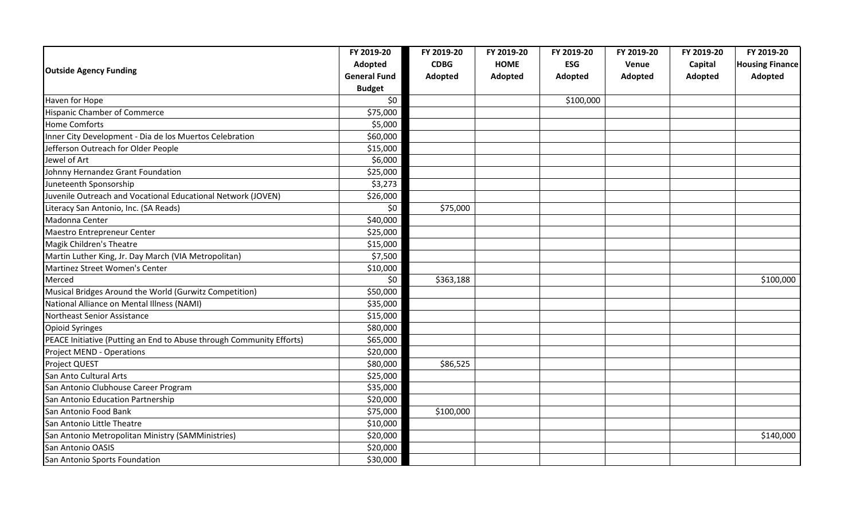|                                                                      | FY 2019-20          | FY 2019-20  | FY 2019-20  | FY 2019-20 | FY 2019-20 | FY 2019-20 | FY 2019-20             |
|----------------------------------------------------------------------|---------------------|-------------|-------------|------------|------------|------------|------------------------|
| <b>Outside Agency Funding</b>                                        | Adopted             | <b>CDBG</b> | <b>HOME</b> | <b>ESG</b> | Venue      | Capital    | <b>Housing Finance</b> |
|                                                                      | <b>General Fund</b> | Adopted     | Adopted     | Adopted    | Adopted    | Adopted    | Adopted                |
|                                                                      | <b>Budget</b>       |             |             |            |            |            |                        |
| Haven for Hope                                                       | \$0                 |             |             | \$100,000  |            |            |                        |
| <b>Hispanic Chamber of Commerce</b>                                  | \$75,000            |             |             |            |            |            |                        |
| <b>Home Comforts</b>                                                 | \$5,000             |             |             |            |            |            |                        |
| Inner City Development - Dia de los Muertos Celebration              | \$60,000            |             |             |            |            |            |                        |
| Jefferson Outreach for Older People                                  | \$15,000            |             |             |            |            |            |                        |
| Jewel of Art                                                         | \$6,000             |             |             |            |            |            |                        |
| Johnny Hernandez Grant Foundation                                    | \$25,000            |             |             |            |            |            |                        |
| Juneteenth Sponsorship                                               | \$3,273             |             |             |            |            |            |                        |
| Juvenile Outreach and Vocational Educational Network (JOVEN)         | \$26,000            |             |             |            |            |            |                        |
| Literacy San Antonio, Inc. (SA Reads)                                | \$0                 | \$75,000    |             |            |            |            |                        |
| Madonna Center                                                       | \$40,000            |             |             |            |            |            |                        |
| Maestro Entrepreneur Center                                          | \$25,000            |             |             |            |            |            |                        |
| Magik Children's Theatre                                             | \$15,000            |             |             |            |            |            |                        |
| Martin Luther King, Jr. Day March (VIA Metropolitan)                 | \$7,500             |             |             |            |            |            |                        |
| Martinez Street Women's Center                                       | \$10,000            |             |             |            |            |            |                        |
| Merced                                                               | \$0                 | \$363,188   |             |            |            |            | \$100,000              |
| Musical Bridges Around the World (Gurwitz Competition)               | \$50,000            |             |             |            |            |            |                        |
| National Alliance on Mental Illness (NAMI)                           | \$35,000            |             |             |            |            |            |                        |
| Northeast Senior Assistance                                          | \$15,000            |             |             |            |            |            |                        |
| <b>Opioid Syringes</b>                                               | \$80,000            |             |             |            |            |            |                        |
| PEACE Initiative (Putting an End to Abuse through Community Efforts) | \$65,000            |             |             |            |            |            |                        |
| <b>Project MEND - Operations</b>                                     | \$20,000            |             |             |            |            |            |                        |
| Project QUEST                                                        | \$80,000            | \$86,525    |             |            |            |            |                        |
| San Anto Cultural Arts                                               | \$25,000            |             |             |            |            |            |                        |
| San Antonio Clubhouse Career Program                                 | \$35,000            |             |             |            |            |            |                        |
| San Antonio Education Partnership                                    | \$20,000            |             |             |            |            |            |                        |
| San Antonio Food Bank                                                | \$75,000            | \$100,000   |             |            |            |            |                        |
| San Antonio Little Theatre                                           | \$10,000            |             |             |            |            |            |                        |
| San Antonio Metropolitan Ministry (SAMMinistries)                    | \$20,000            |             |             |            |            |            | \$140,000              |
| San Antonio OASIS                                                    | \$20,000            |             |             |            |            |            |                        |
| San Antonio Sports Foundation                                        | \$30,000            |             |             |            |            |            |                        |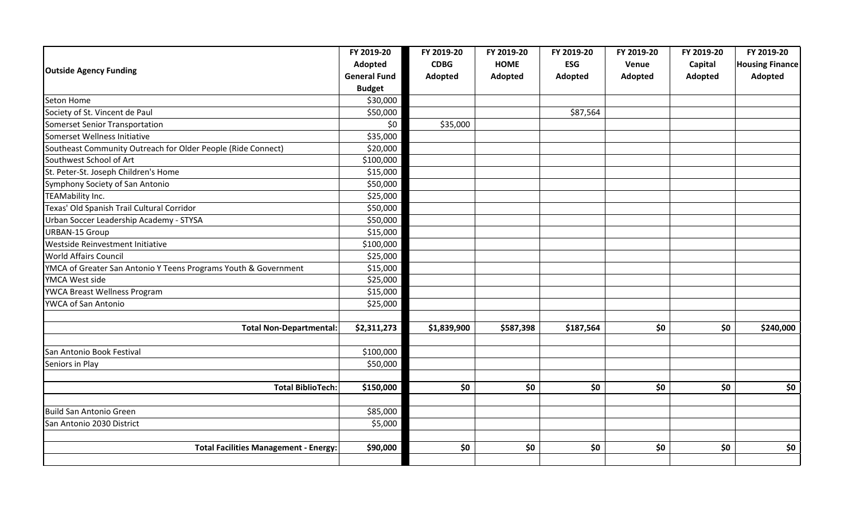|                                                                 | FY 2019-20          | FY 2019-20  | FY 2019-20  | FY 2019-20 | FY 2019-20 | FY 2019-20 | FY 2019-20             |
|-----------------------------------------------------------------|---------------------|-------------|-------------|------------|------------|------------|------------------------|
| <b>Outside Agency Funding</b>                                   | Adopted             | <b>CDBG</b> | <b>HOME</b> | <b>ESG</b> | Venue      | Capital    | <b>Housing Finance</b> |
|                                                                 | <b>General Fund</b> | Adopted     | Adopted     | Adopted    | Adopted    | Adopted    | Adopted                |
|                                                                 | <b>Budget</b>       |             |             |            |            |            |                        |
| Seton Home                                                      | \$30,000            |             |             |            |            |            |                        |
| Society of St. Vincent de Paul                                  | \$50,000            |             |             | \$87,564   |            |            |                        |
| Somerset Senior Transportation                                  | \$0                 | \$35,000    |             |            |            |            |                        |
| Somerset Wellness Initiative                                    | \$35,000            |             |             |            |            |            |                        |
| Southeast Community Outreach for Older People (Ride Connect)    | \$20,000            |             |             |            |            |            |                        |
| Southwest School of Art                                         | \$100,000           |             |             |            |            |            |                        |
| St. Peter-St. Joseph Children's Home                            | \$15,000            |             |             |            |            |            |                        |
| Symphony Society of San Antonio                                 | \$50,000            |             |             |            |            |            |                        |
| <b>TEAMability Inc.</b>                                         | \$25,000            |             |             |            |            |            |                        |
| Texas' Old Spanish Trail Cultural Corridor                      | \$50,000            |             |             |            |            |            |                        |
| Urban Soccer Leadership Academy - STYSA                         | \$50,000            |             |             |            |            |            |                        |
| <b>URBAN-15 Group</b>                                           | \$15,000            |             |             |            |            |            |                        |
| Westside Reinvestment Initiative                                | \$100,000           |             |             |            |            |            |                        |
| <b>World Affairs Council</b>                                    | \$25,000            |             |             |            |            |            |                        |
| YMCA of Greater San Antonio Y Teens Programs Youth & Government | \$15,000            |             |             |            |            |            |                        |
| YMCA West side                                                  | \$25,000            |             |             |            |            |            |                        |
| YWCA Breast Wellness Program                                    | \$15,000            |             |             |            |            |            |                        |
| YWCA of San Antonio                                             | \$25,000            |             |             |            |            |            |                        |
|                                                                 |                     |             |             |            |            |            |                        |
| <b>Total Non-Departmental:</b>                                  | \$2,311,273         | \$1,839,900 | \$587,398   | \$187,564  | \$0        | \$0        | \$240,000              |
| San Antonio Book Festival                                       | \$100,000           |             |             |            |            |            |                        |
| Seniors in Play                                                 | \$50,000            |             |             |            |            |            |                        |
|                                                                 |                     |             |             |            |            |            |                        |
| <b>Total BiblioTech:</b>                                        | \$150,000           | \$0         | \$0         | \$0        | \$0\$      | \$0        | \$0                    |
|                                                                 |                     |             |             |            |            |            |                        |
| <b>Build San Antonio Green</b>                                  | \$85,000            |             |             |            |            |            |                        |
| San Antonio 2030 District                                       | \$5,000             |             |             |            |            |            |                        |
|                                                                 |                     |             |             |            |            |            |                        |
| <b>Total Facilities Management - Energy:</b>                    | \$90,000            | \$0         | \$0         | \$0        | \$0        | \$0        | \$0                    |
|                                                                 |                     |             |             |            |            |            |                        |